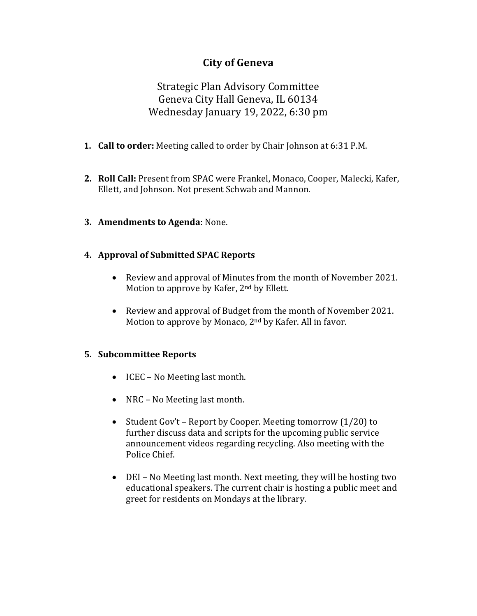# **City of Geneva**

Strategic Plan Advisory Committee Geneva City Hall Geneva, IL 60134 Wednesday January 19, 2022, 6:30 pm

- **1. Call to order:** Meeting called to order by Chair Johnson at 6:31 P.M.
- **2. Roll Call:** Present from SPAC were Frankel, Monaco, Cooper, Malecki, Kafer, Ellett, and Johnson. Not present Schwab and Mannon.
- **3. Amendments to Agenda**: None.

### **4. Approval of Submitted SPAC Reports**

- Review and approval of Minutes from the month of November 2021. Motion to approve by Kafer, 2nd by Ellett.
- Review and approval of Budget from the month of November 2021. Motion to approve by Monaco, 2nd by Kafer. All in favor.

### **5. Subcommittee Reports**

- ICEC No Meeting last month.
- NRC No Meeting last month.
- Student Gov't Report by Cooper. Meeting tomorrow (1/20) to further discuss data and scripts for the upcoming public service announcement videos regarding recycling. Also meeting with the Police Chief.
- DEI No Meeting last month. Next meeting, they will be hosting two educational speakers. The current chair is hosting a public meet and greet for residents on Mondays at the library.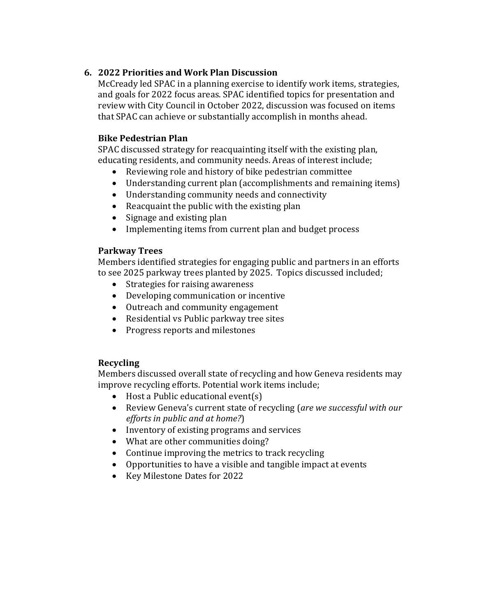## **6. 2022 Priorities and Work Plan Discussion**

McCready led SPAC in a planning exercise to identify work items, strategies, and goals for 2022 focus areas. SPAC identified topics for presentation and review with City Council in October 2022, discussion was focused on items that SPAC can achieve or substantially accomplish in months ahead.

### **Bike Pedestrian Plan**

SPAC discussed strategy for reacquainting itself with the existing plan, educating residents, and community needs. Areas of interest include;

- Reviewing role and history of bike pedestrian committee
- Understanding current plan (accomplishments and remaining items)
- Understanding community needs and connectivity
- Reacquaint the public with the existing plan
- Signage and existing plan
- Implementing items from current plan and budget process

### **Parkway Trees**

Members identified strategies for engaging public and partners in an efforts to see 2025 parkway trees planted by 2025. Topics discussed included;

- Strategies for raising awareness
- Developing communication or incentive
- Outreach and community engagement
- Residential vs Public parkway tree sites
- Progress reports and milestones

# **Recycling**

Members discussed overall state of recycling and how Geneva residents may improve recycling efforts. Potential work items include;

- Host a Public educational event(s)
- Review Geneva's current state of recycling (*are we successful with our efforts in public and at home?*)
- Inventory of existing programs and services
- What are other communities doing?
- Continue improving the metrics to track recycling
- Opportunities to have a visible and tangible impact at events
- Key Milestone Dates for 2022